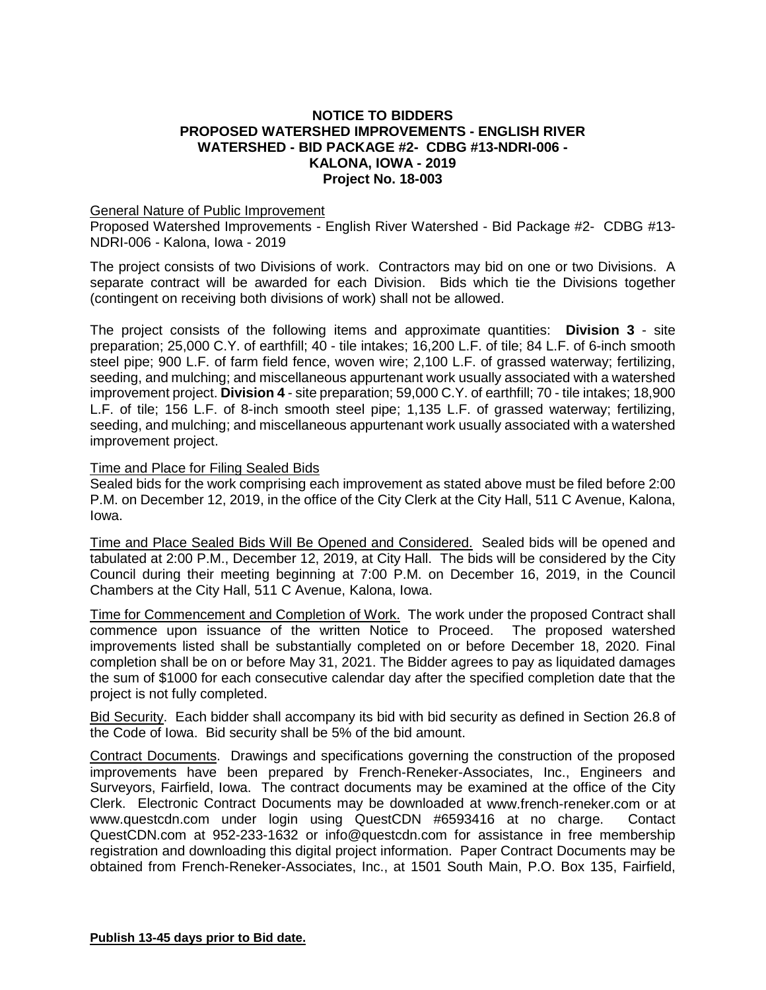## **NOTICE TO BIDDERS PROPOSED WATERSHED IMPROVEMENTS - ENGLISH RIVER WATERSHED - BID PACKAGE #2- CDBG #13-NDRI-006 - KALONA, IOWA - 2019 Project No. 18-003**

## General Nature of Public Improvement

Proposed Watershed Improvements - English River Watershed - Bid Package #2- CDBG #13- NDRI-006 - Kalona, Iowa - 2019

The project consists of two Divisions of work. Contractors may bid on one or two Divisions. A separate contract will be awarded for each Division. Bids which tie the Divisions together (contingent on receiving both divisions of work) shall not be allowed.

The project consists of the following items and approximate quantities: **Division 3** - site preparation; 25,000 C.Y. of earthfill; 40 - tile intakes; 16,200 L.F. of tile; 84 L.F. of 6-inch smooth steel pipe; 900 L.F. of farm field fence, woven wire; 2,100 L.F. of grassed waterway; fertilizing, seeding, and mulching; and miscellaneous appurtenant work usually associated with a watershed improvement project. **Division 4** - site preparation; 59,000 C.Y. of earthfill; 70 - tile intakes; 18,900 L.F. of tile; 156 L.F. of 8-inch smooth steel pipe; 1,135 L.F. of grassed waterway; fertilizing, seeding, and mulching; and miscellaneous appurtenant work usually associated with a watershed improvement project.

## Time and Place for Filing Sealed Bids

Sealed bids for the work comprising each improvement as stated above must be filed before 2:00 P.M. on December 12, 2019, in the office of the City Clerk at the City Hall, 511 C Avenue, Kalona, Iowa.

Time and Place Sealed Bids Will Be Opened and Considered. Sealed bids will be opened and tabulated at 2:00 P.M., December 12, 2019, at City Hall. The bids will be considered by the City Council during their meeting beginning at 7:00 P.M. on December 16, 2019, in the Council Chambers at the City Hall, 511 C Avenue, Kalona, Iowa.

Time for Commencement and Completion of Work. The work under the proposed Contract shall commence upon issuance of the written Notice to Proceed. The proposed watershed improvements listed shall be substantially completed on or before December 18, 2020. Final completion shall be on or before May 31, 2021. The Bidder agrees to pay as liquidated damages the sum of \$1000 for each consecutive calendar day after the specified completion date that the project is not fully completed.

Bid Security. Each bidder shall accompany its bid with bid security as defined in Section 26.8 of the Code of Iowa. Bid security shall be 5% of the bid amount.

Contract Documents. Drawings and specifications governing the construction of the proposed improvements have been prepared by French-Reneker-Associates, Inc., Engineers and Surveyors, Fairfield, Iowa. The contract documents may be examined at the office of the City Clerk. Electronic Contract Documents may be downloaded at [www.french-reneker.com](http://www.french-reneker.com/) or at [www.questcdn.com](http://www.questcdn.com/) under login using QuestCDN #6593416 at no charge. Contact QuestCDN.com at 952-233-1632 or [info@questcdn.com](mailto:info@questcdn.com) for assistance in free membership registration and downloading this digital project information. Paper Contract Documents may be obtained from French-Reneker-Associates, Inc., at 1501 South Main, P.O. Box 135, Fairfield,

**Publish 13-45 days prior to Bid date.**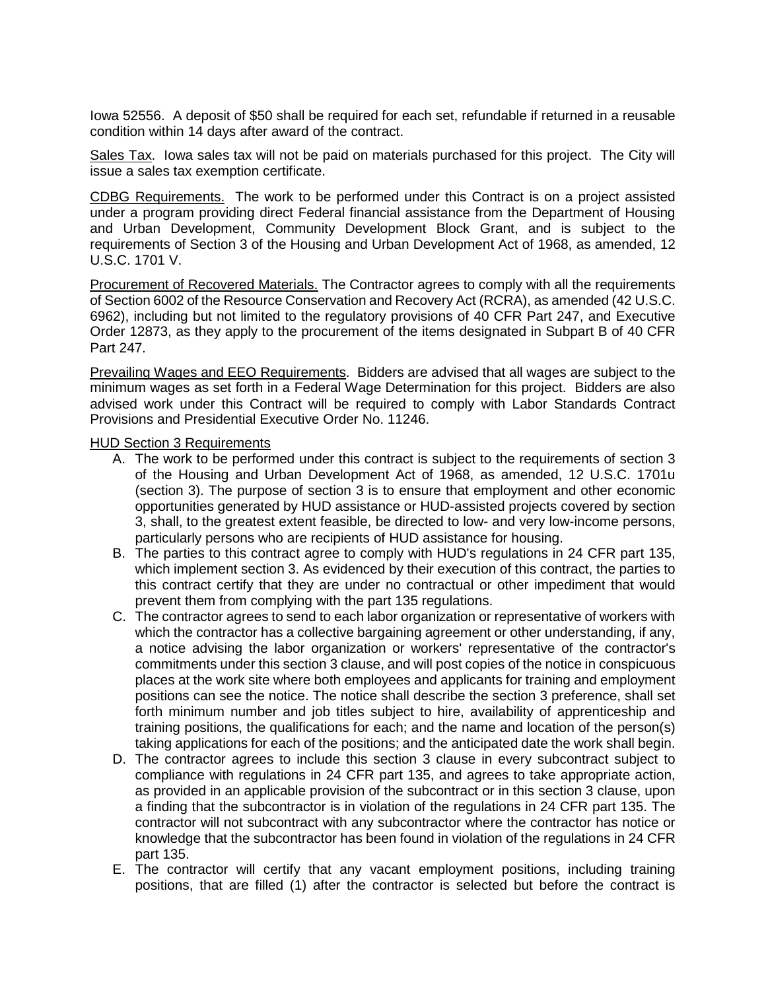Iowa 52556. A deposit of \$50 shall be required for each set, refundable if returned in a reusable condition within 14 days after award of the contract.

Sales Tax. Iowa sales tax will not be paid on materials purchased for this project. The City will issue a sales tax exemption certificate.

CDBG Requirements. The work to be performed under this Contract is on a project assisted under a program providing direct Federal financial assistance from the Department of Housing and Urban Development, Community Development Block Grant, and is subject to the requirements of Section 3 of the Housing and Urban Development Act of 1968, as amended, 12 U.S.C. 1701 V.

Procurement of Recovered Materials. The Contractor agrees to comply with all the requirements of Section 6002 of the Resource Conservation and Recovery Act (RCRA), as amended (42 U.S.C. 6962), including but not limited to the regulatory provisions of 40 CFR Part 247, and Executive Order 12873, as they apply to the procurement of the items designated in Subpart B of 40 CFR Part 247.

Prevailing Wages and EEO Requirements. Bidders are advised that all wages are subject to the minimum wages as set forth in a Federal Wage Determination for this project. Bidders are also advised work under this Contract will be required to comply with Labor Standards Contract Provisions and Presidential Executive Order No. 11246.

## HUD Section 3 Requirements

- A. The work to be performed under this contract is subject to the requirements of section 3 of the Housing and Urban Development Act of 1968, as amended, 12 U.S.C. 1701u (section 3). The purpose of section 3 is to ensure that employment and other economic opportunities generated by HUD assistance or HUD-assisted projects covered by section 3, shall, to the greatest extent feasible, be directed to low- and very low-income persons, particularly persons who are recipients of HUD assistance for housing.
- B. The parties to this contract agree to comply with HUD's regulations in 24 CFR part 135, which implement section 3. As evidenced by their execution of this contract, the parties to this contract certify that they are under no contractual or other impediment that would prevent them from complying with the part 135 regulations.
- C. The contractor agrees to send to each labor organization or representative of workers with which the contractor has a collective bargaining agreement or other understanding, if any, a notice advising the labor organization or workers' representative of the contractor's commitments under this section 3 clause, and will post copies of the notice in conspicuous places at the work site where both employees and applicants for training and employment positions can see the notice. The notice shall describe the section 3 preference, shall set forth minimum number and job titles subject to hire, availability of apprenticeship and training positions, the qualifications for each; and the name and location of the person(s) taking applications for each of the positions; and the anticipated date the work shall begin.
- D. The contractor agrees to include this section 3 clause in every subcontract subject to compliance with regulations in 24 CFR part 135, and agrees to take appropriate action, as provided in an applicable provision of the subcontract or in this section 3 clause, upon a finding that the subcontractor is in violation of the regulations in 24 CFR part 135. The contractor will not subcontract with any subcontractor where the contractor has notice or knowledge that the subcontractor has been found in violation of the regulations in 24 CFR part 135.
- E. The contractor will certify that any vacant employment positions, including training positions, that are filled (1) after the contractor is selected but before the contract is